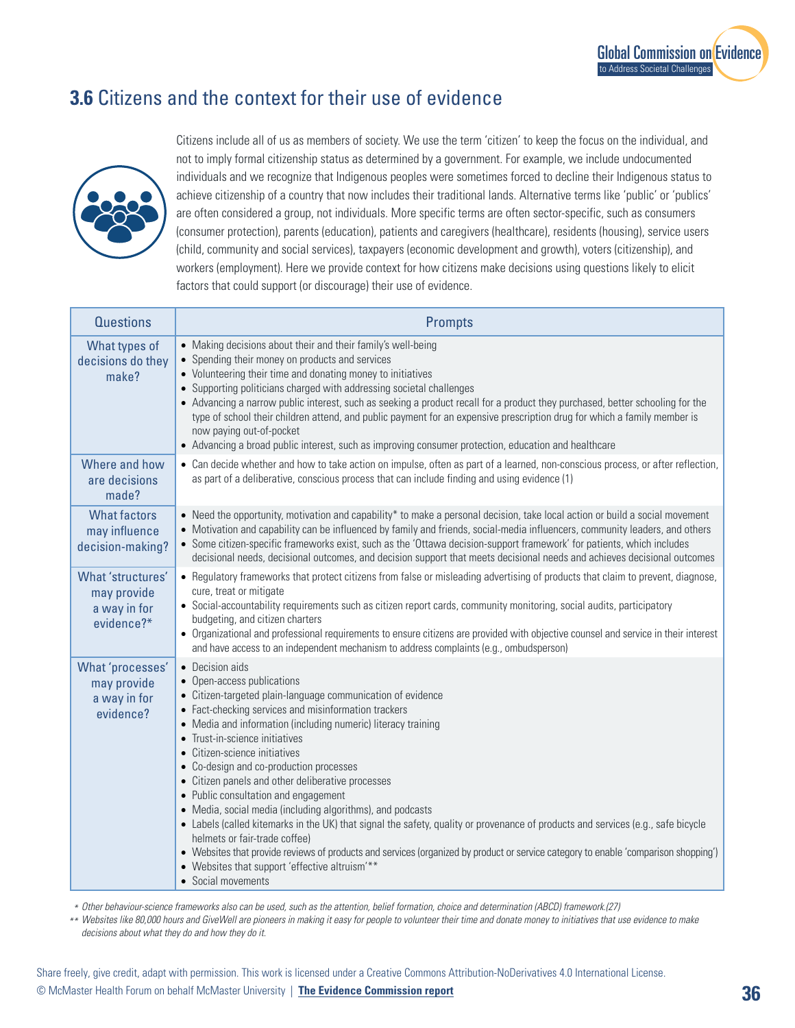## **3.6** Citizens and the context for their use of evidence



Citizens include all of us as members of society. We use the term 'citizen' to keep the focus on the individual, and not to imply formal citizenship status as determined by a government. For example, we include undocumented individuals and we recognize that Indigenous peoples were sometimes forced to decline their Indigenous status to achieve citizenship of a country that now includes their traditional lands. Alternative terms like 'public' or 'publics' are often considered a group, not individuals. More specific terms are often sector-specific, such as consumers (consumer protection), parents (education), patients and caregivers (healthcare), residents (housing), service users (child, community and social services), taxpayers (economic development and growth), voters (citizenship), and workers (employment). Here we provide context for how citizens make decisions using questions likely to elicit factors that could support (or discourage) their use of evidence.

| <b>Questions</b>                                               | <b>Prompts</b>                                                                                                                                                                                                                                                                                                                                                                                                                                                                                                                                                                                                                                                                                                                                                                                                                                                                                     |
|----------------------------------------------------------------|----------------------------------------------------------------------------------------------------------------------------------------------------------------------------------------------------------------------------------------------------------------------------------------------------------------------------------------------------------------------------------------------------------------------------------------------------------------------------------------------------------------------------------------------------------------------------------------------------------------------------------------------------------------------------------------------------------------------------------------------------------------------------------------------------------------------------------------------------------------------------------------------------|
| What types of<br>decisions do they<br>make?                    | • Making decisions about their and their family's well-being<br>• Spending their money on products and services<br>• Volunteering their time and donating money to initiatives<br>• Supporting politicians charged with addressing societal challenges<br>• Advancing a narrow public interest, such as seeking a product recall for a product they purchased, better schooling for the<br>type of school their children attend, and public payment for an expensive prescription drug for which a family member is<br>now paying out-of-pocket<br>• Advancing a broad public interest, such as improving consumer protection, education and healthcare                                                                                                                                                                                                                                            |
| Where and how<br>are decisions<br>made?                        | • Can decide whether and how to take action on impulse, often as part of a learned, non-conscious process, or after reflection,<br>as part of a deliberative, conscious process that can include finding and using evidence (1)                                                                                                                                                                                                                                                                                                                                                                                                                                                                                                                                                                                                                                                                    |
| <b>What factors</b><br>may influence<br>decision-making?       | • Need the opportunity, motivation and capability* to make a personal decision, take local action or build a social movement<br>• Motivation and capability can be influenced by family and friends, social-media influencers, community leaders, and others<br>• Some citizen-specific frameworks exist, such as the 'Ottawa decision-support framework' for patients, which includes<br>decisional needs, decisional outcomes, and decision support that meets decisional needs and achieves decisional outcomes                                                                                                                                                                                                                                                                                                                                                                                 |
| What 'structures'<br>may provide<br>a way in for<br>evidence?* | • Regulatory frameworks that protect citizens from false or misleading advertising of products that claim to prevent, diagnose,<br>cure, treat or mitigate<br>• Social-accountability requirements such as citizen report cards, community monitoring, social audits, participatory<br>budgeting, and citizen charters<br>• Organizational and professional requirements to ensure citizens are provided with objective counsel and service in their interest<br>and have access to an independent mechanism to address complaints (e.g., ombudsperson)                                                                                                                                                                                                                                                                                                                                            |
| What 'processes'<br>may provide<br>a way in for<br>evidence?   | • Decision aids<br>• Open-access publications<br>• Citizen-targeted plain-language communication of evidence<br>• Fact-checking services and misinformation trackers<br>• Media and information (including numeric) literacy training<br>• Trust-in-science initiatives<br>• Citizen-science initiatives<br>• Co-design and co-production processes<br>• Citizen panels and other deliberative processes<br>• Public consultation and engagement<br>• Media, social media (including algorithms), and podcasts<br>• Labels (called kitemarks in the UK) that signal the safety, quality or provenance of products and services (e.g., safe bicycle<br>helmets or fair-trade coffee)<br>• Websites that provide reviews of products and services (organized by product or service category to enable 'comparison shopping')<br>• Websites that support 'effective altruism'**<br>• Social movements |

 *Other behaviour-science frameworks also can be used, such as the attention, belief formation, choice and determination (ABCD) framework.(27) \**

 *Websites like 80,000 hours and GiveWell are pioneers in making it easy for people to volunteer their time and donate money to initiatives that use evidence to make \*\* decisions about what they do and how they do it.*